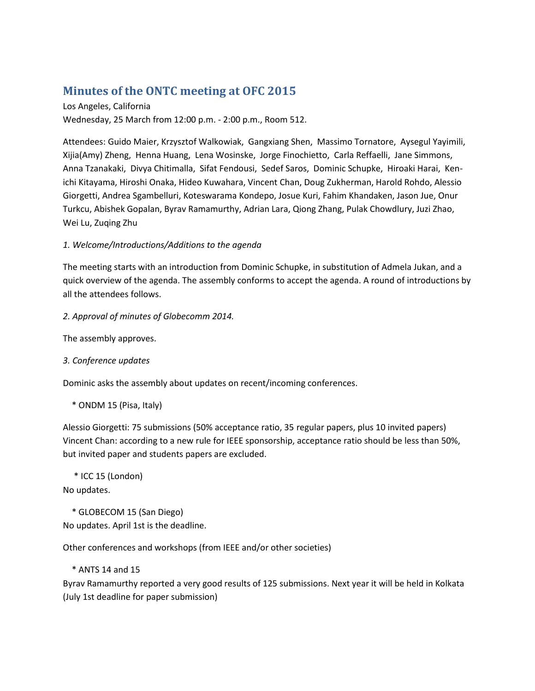# **Minutes of the ONTC meeting at OFC 2015**

Los Angeles, California Wednesday, 25 March from 12:00 p.m. - 2:00 p.m., Room 512.

Attendees: Guido Maier, Krzysztof Walkowiak, Gangxiang Shen, Massimo Tornatore, Aysegul Yayimili, Xijia(Amy) Zheng, Henna Huang, Lena Wosinske, Jorge Finochietto, Carla Reffaelli, Jane Simmons, Anna Tzanakaki, Divya Chitimalla, Sifat Fendousi, Sedef Saros, Dominic Schupke, Hiroaki Harai, Kenichi Kitayama, Hiroshi Onaka, Hideo Kuwahara, Vincent Chan, Doug Zukherman, Harold Rohdo, Alessio Giorgetti, Andrea Sgambelluri, Koteswarama Kondepo, Josue Kuri, Fahim Khandaken, Jason Jue, Onur Turkcu, Abishek Gopalan, Byrav Ramamurthy, Adrian Lara, Qiong Zhang, Pulak Chowdlury, Juzi Zhao, Wei Lu, Zuqing Zhu

#### *1. Welcome/Introductions/Additions to the agenda*

The meeting starts with an introduction from Dominic Schupke, in substitution of Admela Jukan, and a quick overview of the agenda. The assembly conforms to accept the agenda. A round of introductions by all the attendees follows.

*2. Approval of minutes of Globecomm 2014.*

The assembly approves.

*3. Conference updates*

Dominic asks the assembly about updates on recent/incoming conferences.

\* ONDM 15 (Pisa, Italy)

Alessio Giorgetti: 75 submissions (50% acceptance ratio, 35 regular papers, plus 10 invited papers) Vincent Chan: according to a new rule for IEEE sponsorship, acceptance ratio should be less than 50%, but invited paper and students papers are excluded.

\* ICC 15 (London)

No updates.

 \* GLOBECOM 15 (San Diego) No updates. April 1st is the deadline.

Other conferences and workshops (from IEEE and/or other societies)

\* ANTS 14 and 15

Byrav Ramamurthy reported a very good results of 125 submissions. Next year it will be held in Kolkata (July 1st deadline for paper submission)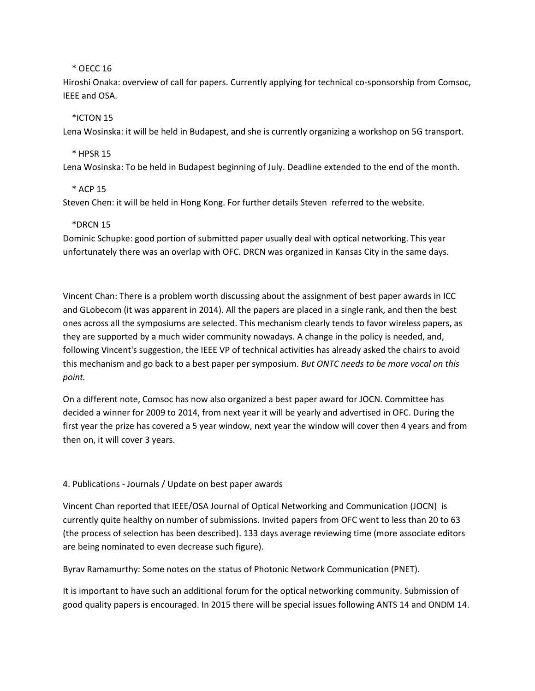#### \* OECC 16

Hiroshi Onaka: overview of call for papers. Currently applying for technical co-sponsorship from Comsoc, IEEE and OSA.

### \*ICTON 15

Lena Wosinska: it will be held in Budapest, and she is currently organizing a workshop on 5G transport.

# \* HPSR 15

Lena Wosinska: To be held in Budapest beginning of July. Deadline extended to the end of the month.

# \* ACP 15

Steven Chen: it will be held in Hong Kong. For further details Steven referred to the website.

# \*DRCN 15

Dominic Schupke: good portion of submitted paper usually deal with optical networking. This year unfortunately there was an overlap with OFC. DRCN was organized in Kansas City in the same days.

Vincent Chan: There is a problem worth discussing about the assignment of best paper awards in ICC and GLobecom (it was apparent in 2014). All the papers are placed in a single rank, and then the best ones across all the symposiums are selected. This mechanism clearly tends to favor wireless papers, as they are supported by a much wider community nowadays. A change in the policy is needed, and, following Vincent's suggestion, the IEEE VP of technical activities has already asked the chairs to avoid this mechanism and go back to a best paper per symposium. *But ONTC needs to be more vocal on this point.*

On a different note, Comsoc has now also organized a best paper award for JOCN. Committee has decided a winner for 2009 to 2014, from next year it will be yearly and advertised in OFC. During the first year the prize has covered a 5 year window, next year the window will cover then 4 years and from then on, it will cover 3 years.

#### 4. Publications - Journals / Update on best paper awards

Vincent Chan reported that IEEE/OSA Journal of Optical Networking and Communication (JOCN) is currently quite healthy on number of submissions. Invited papers from OFC went to less than 20 to 63 (the process of selection has been described). 133 days average reviewing time (more associate editors are being nominated to even decrease such figure).

Byrav Ramamurthy: Some notes on the status of Photonic Network Communication (PNET).

It is important to have such an additional forum for the optical networking community. Submission of good quality papers is encouraged. In 2015 there will be special issues following ANTS 14 and ONDM 14.